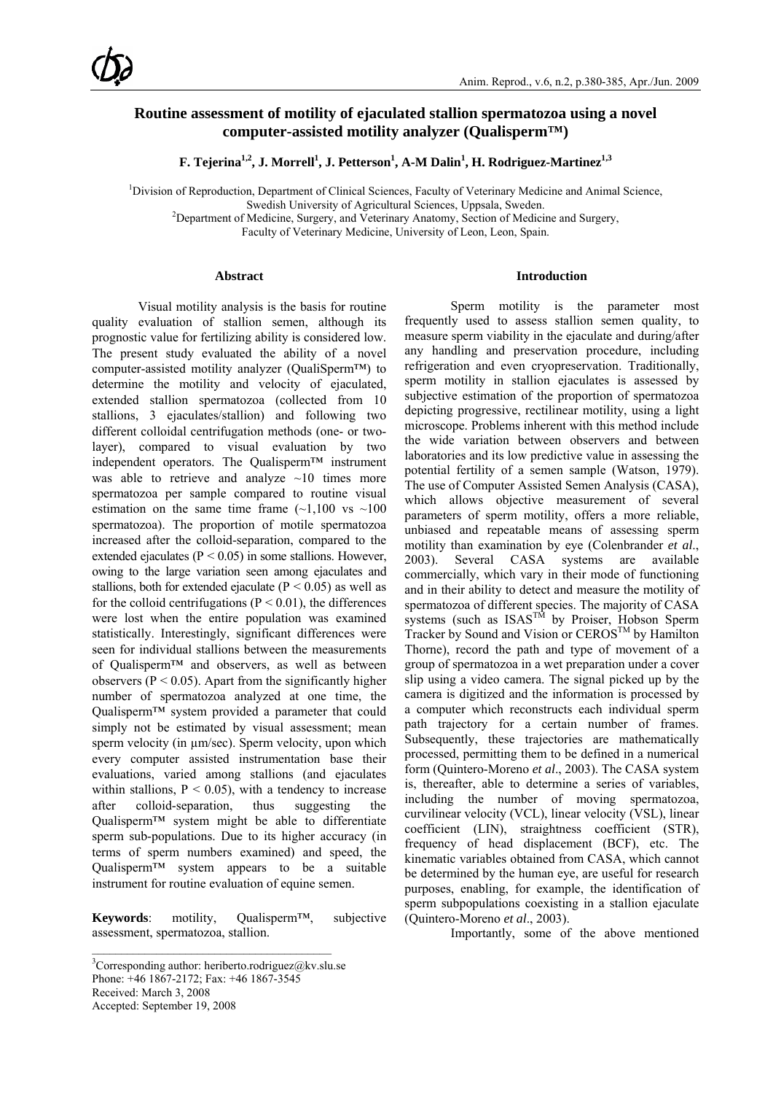## **Routine assessment of motility of ejaculated stallion spermatozoa using a novel computer-assisted motility analyzer (Qualisperm™)**

 ${\bf F. Tejerina}^{1,2}, {\bf J. Morrell}^1, {\bf J. Petterson}^1, {\bf A\text{-}M Dalin}^1, {\bf H. Rodriguez-Martinez}^{1,3}$ 

<sup>1</sup>Division of Reproduction, Department of Clinical Sciences, Faculty of Veterinary Medicine and Animal Science,

Swedish University of Agricultural Sciences, Uppsala, Sweden. 2

<sup>2</sup>Department of Medicine, Surgery, and Veterinary Anatomy, Section of Medicine and Surgery,

Faculty of Veterinary Medicine, University of Leon, Leon, Spain.

### **Abstract**

Visual motility analysis is the basis for routine quality evaluation of stallion semen, although its prognostic value for fertilizing ability is considered low. The present study evaluated the ability of a novel computer-assisted motility analyzer (QualiSperm™) to determine the motility and velocity of ejaculated, extended stallion spermatozoa (collected from 10 stallions, 3 ejaculates/stallion) and following two different colloidal centrifugation methods (one- or twolayer), compared to visual evaluation by two independent operators. The Qualisperm™ instrument was able to retrieve and analyze  $\sim$ 10 times more spermatozoa per sample compared to routine visual estimation on the same time frame  $(-1,100 \text{ vs } -100$ spermatozoa). The proportion of motile spermatozoa increased after the colloid-separation, compared to the extended ejaculates ( $P < 0.05$ ) in some stallions. However, owing to the large variation seen among ejaculates and stallions, both for extended ejaculate ( $P \le 0.05$ ) as well as for the colloid centrifugations ( $P \le 0.01$ ), the differences were lost when the entire population was examined statistically. Interestingly, significant differences were seen for individual stallions between the measurements of Qualisperm™ and observers, as well as between observers ( $P < 0.05$ ). Apart from the significantly higher number of spermatozoa analyzed at one time, the Qualisperm™ system provided a parameter that could simply not be estimated by visual assessment; mean sperm velocity (in  $\mu$ m/sec). Sperm velocity, upon which every computer assisted instrumentation base their evaluations, varied among stallions (and ejaculates within stallions,  $P < 0.05$ , with a tendency to increase after colloid-separation, thus suggesting the Qualisperm™ system might be able to differentiate sperm sub-populations. Due to its higher accuracy (in terms of sperm numbers examined) and speed, the  $Qualisperm<sup>TM</sup>$  system appears to be a suitable instrument for routine evaluation of equine semen.

**Keywords**: motility, Qualisperm™, subjective assessment, spermatozoa, stallion.

#### **Introduction**

Sperm motility is the parameter most frequently used to assess stallion semen quality, to measure sperm viability in the ejaculate and during/after any handling and preservation procedure, including refrigeration and even cryopreservation. Traditionally, sperm motility in stallion ejaculates is assessed by subjective estimation of the proportion of spermatozoa depicting progressive, rectilinear motility, using a light microscope. Problems inherent with this method include the wide variation between observers and between laboratories and its low predictive value in assessing the potential fertility of a semen sample (Watson, 1979). The use of Computer Assisted Semen Analysis (CASA), which allows objective measurement of several parameters of sperm motility, offers a more reliable, unbiased and repeatable means of assessing sperm motility than examination by eye (Colenbrander *et al*., 2003). Several CASA systems are available commercially, which vary in their mode of functioning and in their ability to detect and measure the motility of spermatozoa of different species. The majority of CASA systems (such as  $ISAS^{T\hat{M}}$  by Proiser, Hobson Sperm Tracker by Sound and Vision or CEROS<sup>TM</sup> by Hamilton Thorne), record the path and type of movement of a group of spermatozoa in a wet preparation under a cover slip using a video camera. The signal picked up by the camera is digitized and the information is processed by a computer which reconstructs each individual sperm path trajectory for a certain number of frames. Subsequently, these trajectories are mathematically processed, permitting them to be defined in a numerical form (Quintero-Moreno *et al*., 2003). The CASA system is, thereafter, able to determine a series of variables, including the number of moving spermatozoa, curvilinear velocity (VCL), linear velocity (VSL), linear coefficient (LIN), straightness coefficient (STR), frequency of head displacement (BCF), etc. The kinematic variables obtained from CASA, which cannot be determined by the human eye, are useful for research purposes, enabling, for example, the identification of sperm subpopulations coexisting in a stallion ejaculate (Quintero-Moreno *et al*., 2003).

Importantly, some of the above mentioned

 $\mathcal{L}_\text{max}$ 

 ${}^{3}$ Corresponding author: heriberto.rodriguez@kv.slu.se Phone: +46 1867-2172; Fax: +46 1867-3545 Received: March 3, 2008 Accepted: September 19, 2008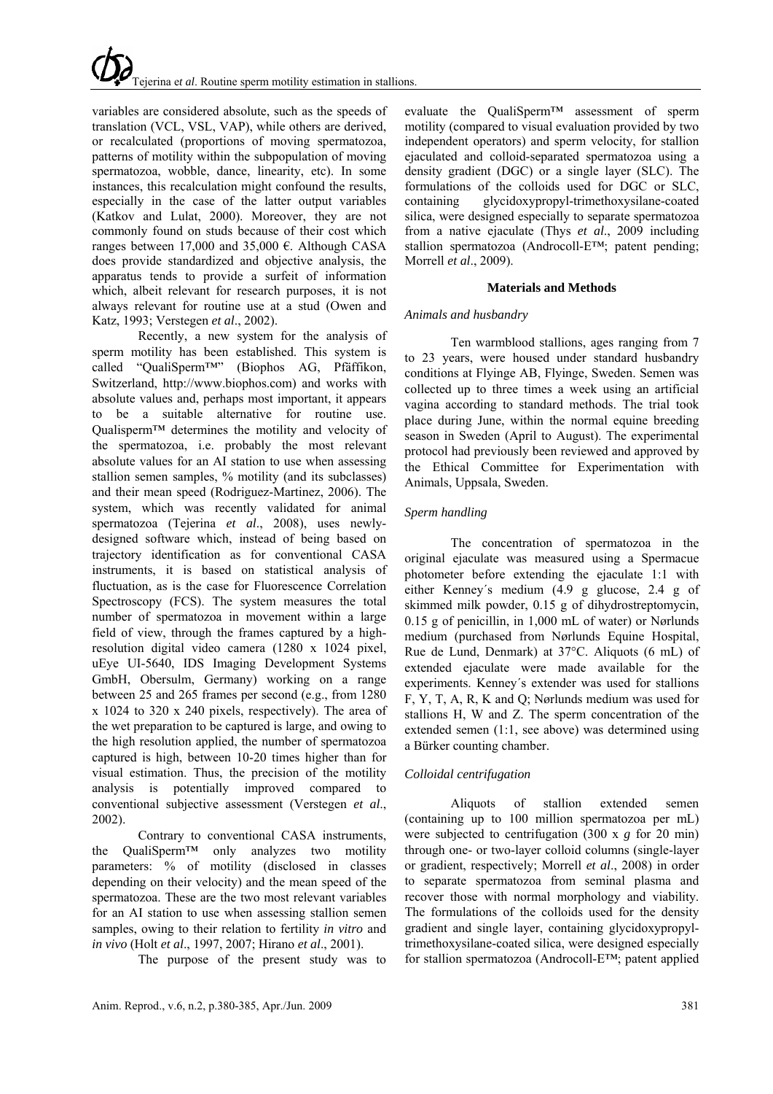variables are considered absolute, such as the speeds of translation (VCL, VSL, VAP), while others are derived, or recalculated (proportions of moving spermatozoa, patterns of motility within the subpopulation of moving spermatozoa, wobble, dance, linearity, etc). In some instances, this recalculation might confound the results, especially in the case of the latter output variables (Katkov and Lulat, 2000). Moreover, they are not commonly found on studs because of their cost which ranges between 17,000 and 35,000 €. Although CASA does provide standardized and objective analysis, the apparatus tends to provide a surfeit of information which, albeit relevant for research purposes, it is not always relevant for routine use at a stud (Owen and Katz, 1993; Verstegen *et al*., 2002).

Recently, a new system for the analysis of sperm motility has been established. This system is called "QualiSperm™" (Biophos AG, Pfäffikon, Switzerland, http://www.biophos.com) and works with absolute values and, perhaps most important, it appears to be a suitable alternative for routine use. Qualisperm™ determines the motility and velocity of the spermatozoa, i.e. probably the most relevant absolute values for an AI station to use when assessing stallion semen samples, % motility (and its subclasses) and their mean speed (Rodriguez-Martinez, 2006). The system, which was recently validated for animal spermatozoa (Tejerina *et al*., 2008), uses newlydesigned software which, instead of being based on trajectory identification as for conventional CASA instruments, it is based on statistical analysis of fluctuation, as is the case for Fluorescence Correlation Spectroscopy (FCS). The system measures the total number of spermatozoa in movement within a large field of view, through the frames captured by a highresolution digital video camera (1280 x 1024 pixel, uEye UI-5640, IDS Imaging Development Systems GmbH, Obersulm, Germany) working on a range between 25 and 265 frames per second (e.g., from 1280 x 1024 to 320 x 240 pixels, respectively). The area of the wet preparation to be captured is large, and owing to the high resolution applied, the number of spermatozoa captured is high, between 10-20 times higher than for visual estimation. Thus, the precision of the motility analysis is potentially improved compared to conventional subjective assessment (Verstegen *et al*., 2002).

Contrary to conventional CASA instruments, the QualiSperm™ only analyzes two motility parameters: % of motility (disclosed in classes depending on their velocity) and the mean speed of the spermatozoa. These are the two most relevant variables for an AI station to use when assessing stallion semen samples, owing to their relation to fertility *in vitro* and *in vivo* (Holt *et al*., 1997, 2007; Hirano *et al*., 2001).

The purpose of the present study was to

evaluate the QualiSperm™ assessment of sperm motility (compared to visual evaluation provided by two independent operators) and sperm velocity, for stallion ejaculated and colloid-separated spermatozoa using a density gradient (DGC) or a single layer (SLC). The formulations of the colloids used for DGC or SLC, containing glycidoxypropyl-trimethoxysilane-coated silica, were designed especially to separate spermatozoa from a native ejaculate (Thys *et al*., 2009 including stallion spermatozoa (Androcoll-E™; patent pending; Morrell *et al*., 2009).

### **Materials and Methods**

### *Animals and husbandry*

Ten warmblood stallions, ages ranging from 7 to 23 years, were housed under standard husbandry conditions at Flyinge AB, Flyinge, Sweden. Semen was collected up to three times a week using an artificial vagina according to standard methods. The trial took place during June, within the normal equine breeding season in Sweden (April to August). The experimental protocol had previously been reviewed and approved by the Ethical Committee for Experimentation with Animals, Uppsala, Sweden.

### *Sperm handling*

The concentration of spermatozoa in the original ejaculate was measured using a Spermacue photometer before extending the ejaculate 1:1 with either Kenney´s medium (4.9 g glucose, 2.4 g of skimmed milk powder, 0.15 g of dihydrostreptomycin, 0.15 g of penicillin, in 1,000 mL of water) or Nørlunds medium (purchased from Nørlunds Equine Hospital, Rue de Lund, Denmark) at 37°C. Aliquots (6 mL) of extended ejaculate were made available for the experiments. Kenney´s extender was used for stallions F, Y, T, A, R, K and Q; Nørlunds medium was used for stallions H, W and Z. The sperm concentration of the extended semen (1:1, see above) was determined using a Bürker counting chamber.

### *Colloidal centrifugation*

Aliquots of stallion extended semen (containing up to 100 million spermatozoa per mL) were subjected to centrifugation (300 x *g* for 20 min) through one- or two-layer colloid columns (single-layer or gradient, respectively; Morrell *et al*., 2008) in order to separate spermatozoa from seminal plasma and recover those with normal morphology and viability. The formulations of the colloids used for the density gradient and single layer, containing glycidoxypropyltrimethoxysilane-coated silica, were designed especially for stallion spermatozoa (Androcoll-E™; patent applied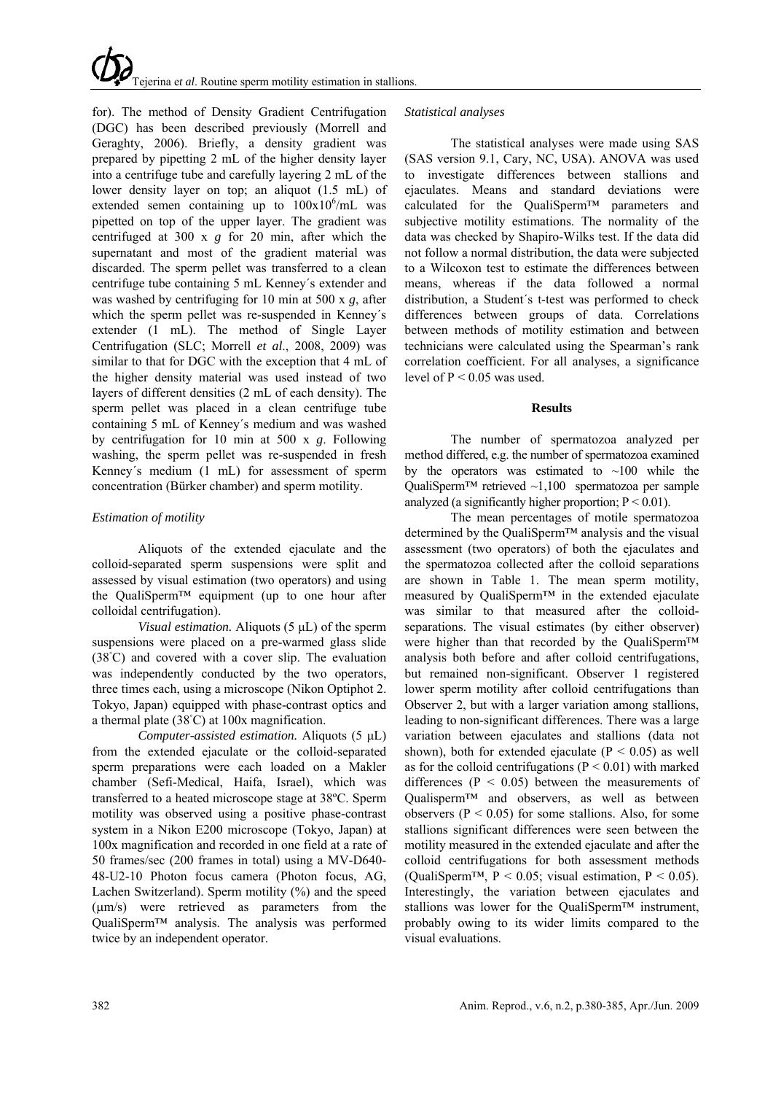# Tejerina e*t al*. Routine sperm motility estimation in stallions.

for). The method of Density Gradient Centrifugation (DGC) has been described previously (Morrell and Geraghty, 2006). Briefly, a density gradient was prepared by pipetting 2 mL of the higher density layer into a centrifuge tube and carefully layering 2 mL of the lower density layer on top; an aliquot (1.5 mL) of extended semen containing up to  $100x10^6$ /mL was pipetted on top of the upper layer. The gradient was centrifuged at 300 x *g* for 20 min, after which the supernatant and most of the gradient material was discarded. The sperm pellet was transferred to a clean centrifuge tube containing 5 mL Kenney´s extender and was washed by centrifuging for 10 min at 500 x *g*, after which the sperm pellet was re-suspended in Kenney´s extender (1 mL). The method of Single Layer Centrifugation (SLC; Morrell *et al*., 2008, 2009) was similar to that for DGC with the exception that 4 mL of the higher density material was used instead of two layers of different densities (2 mL of each density). The sperm pellet was placed in a clean centrifuge tube containing 5 mL of Kenney´s medium and was washed by centrifugation for 10 min at 500 x *g*. Following washing, the sperm pellet was re-suspended in fresh Kenney´s medium (1 mL) for assessment of sperm concentration (Bürker chamber) and sperm motility.

## *Estimation of motility*

Aliquots of the extended ejaculate and the colloid-separated sperm suspensions were split and assessed by visual estimation (two operators) and using the QualiSperm™ equipment (up to one hour after colloidal centrifugation).

*Visual estimation.* Aliquots (5 μL) of the sperm suspensions were placed on a pre-warmed glass slide (38◦ C) and covered with a cover slip. The evaluation was independently conducted by the two operators, three times each, using a microscope (Nikon Optiphot 2. Tokyo, Japan) equipped with phase-contrast optics and a thermal plate (38◦ C) at 100x magnification.

*Computer-assisted estimation.* Aliquots (5 μL) from the extended ejaculate or the colloid-separated sperm preparations were each loaded on a Makler chamber (Sefi-Medical, Haifa, Israel), which was transferred to a heated microscope stage at 38ºC. Sperm motility was observed using a positive phase-contrast system in a Nikon E200 microscope (Tokyo, Japan) at 100x magnification and recorded in one field at a rate of 50 frames/sec (200 frames in total) using a MV-D640- 48-U2-10 Photon focus camera (Photon focus, AG, Lachen Switzerland). Sperm motility (%) and the speed (μm/s) were retrieved as parameters from the QualiSperm™ analysis. The analysis was performed twice by an independent operator.

## *Statistical analyses*

The statistical analyses were made using SAS (SAS version 9.1, Cary, NC, USA). ANOVA was used to investigate differences between stallions and ejaculates. Means and standard deviations were calculated for the QualiSperm™ parameters and subjective motility estimations. The normality of the data was checked by Shapiro-Wilks test. If the data did not follow a normal distribution, the data were subjected to a Wilcoxon test to estimate the differences between means, whereas if the data followed a normal distribution, a Student´s t-test was performed to check differences between groups of data. Correlations between methods of motility estimation and between technicians were calculated using the Spearman's rank correlation coefficient. For all analyses, a significance level of  $P < 0.05$  was used.

### **Results**

The number of spermatozoa analyzed per method differed, e.g. the number of spermatozoa examined by the operators was estimated to  $~100$  while the QualiSperm<sup>™</sup> retrieved ~1,100 spermatozoa per sample analyzed (a significantly higher proportion;  $P < 0.01$ ).

The mean percentages of motile spermatozoa determined by the QualiSperm™ analysis and the visual assessment (two operators) of both the ejaculates and the spermatozoa collected after the colloid separations are shown in Table 1. The mean sperm motility, measured by QualiSperm™ in the extended ejaculate was similar to that measured after the colloidseparations. The visual estimates (by either observer) were higher than that recorded by the QualiSperm™ analysis both before and after colloid centrifugations, but remained non-significant. Observer 1 registered lower sperm motility after colloid centrifugations than Observer 2, but with a larger variation among stallions, leading to non-significant differences. There was a large variation between ejaculates and stallions (data not shown), both for extended ejaculate ( $P < 0.05$ ) as well as for the colloid centrifugations ( $P < 0.01$ ) with marked differences ( $P < 0.05$ ) between the measurements of Qualisperm™ and observers, as well as between observers ( $P < 0.05$ ) for some stallions. Also, for some stallions significant differences were seen between the motility measured in the extended ejaculate and after the colloid centrifugations for both assessment methods (QualiSperm<sup>TM</sup>,  $P < 0.05$ ; visual estimation,  $P < 0.05$ ). Interestingly, the variation between ejaculates and stallions was lower for the QualiSperm™ instrument, probably owing to its wider limits compared to the visual evaluations.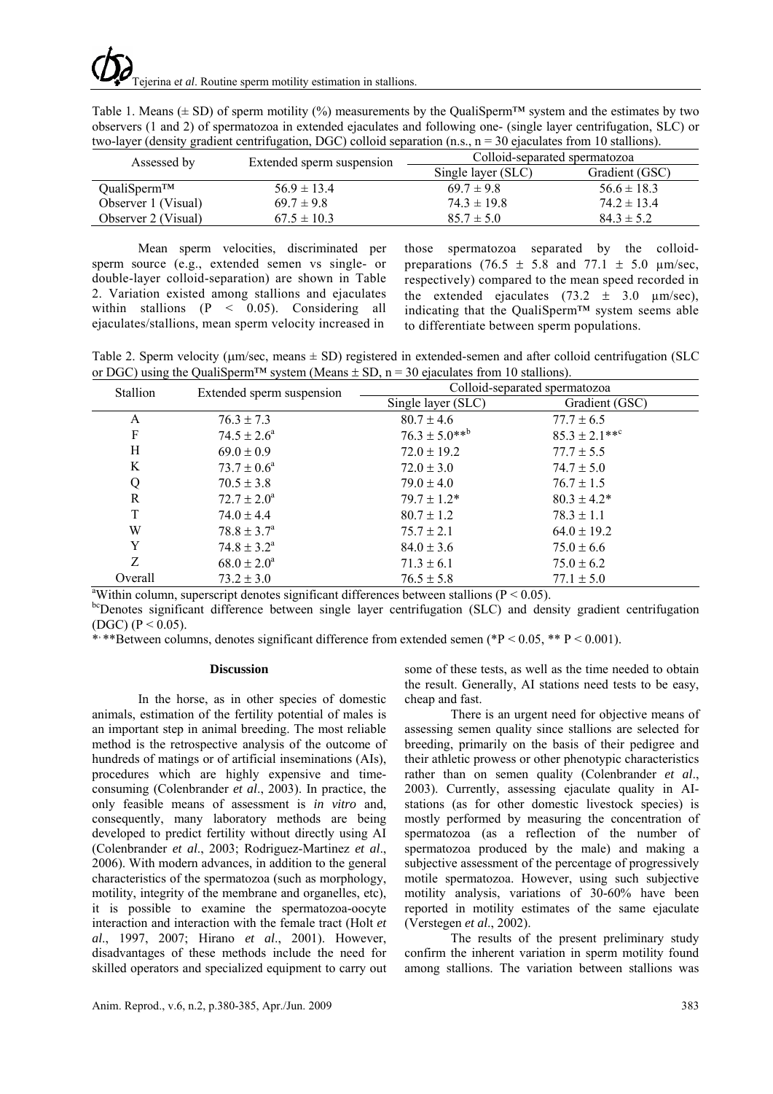| Table 1. Means ( $\pm$ SD) of sperm motility (%) measurements by the QualiSperm <sup>TM</sup> system and the estimates by two |
|-------------------------------------------------------------------------------------------------------------------------------|
| observers (1 and 2) of spermatozoa in extended ejaculates and following one- (single layer centrifugation, SLC) or            |
| two-layer (density gradient centrifugation, DGC) colloid separation $(n.s., n = 30$ ejaculates from 10 stallions).            |

| Assessed by              | Extended sperm suspension | Colloid-separated spermatozoa |                 |
|--------------------------|---------------------------|-------------------------------|-----------------|
|                          |                           | Single layer (SLC)            | Gradient (GSC)  |
| QualiSperm <sup>TM</sup> | $56.9 \pm 13.4$           | $69.7 \pm 9.8$                | $56.6 \pm 18.3$ |
| Observer 1 (Visual)      | $69.7 \pm 9.8$            | $74.3 \pm 19.8$               | $74.2 \pm 13.4$ |
| Observer 2 (Visual)      | $67.5 \pm 10.3$           | $85.7 \pm 5.0$                | $84.3 \pm 5.2$  |

Mean sperm velocities, discriminated per sperm source (e.g., extended semen vs single- or double-layer colloid-separation) are shown in Table 2. Variation existed among stallions and ejaculates within stallions (P < 0.05). Considering all ejaculates/stallions, mean sperm velocity increased in

those spermatozoa separated by the colloidpreparations  $(76.5 \pm 5.8 \text{ and } 77.1 \pm 5.0 \text{ µm/sec})$ . respectively) compared to the mean speed recorded in the extended ejaculates  $(73.2 \pm 3.0 \mu m/sec)$ , indicating that the QualiSperm™ system seems able to differentiate between sperm populations.

Table 2. Sperm velocity ( $\mu$ m/sec, means  $\pm$  SD) registered in extended-semen and after colloid centrifugation (SLC or DGC) using the QualiSperm<sup>TM</sup> system (Means  $\pm$  SD, n = 30 ejaculates from 10 stallions).

| Stallion                                                                                                  | Extended sperm suspension | Colloid-separated spermatozoa |                   |  |
|-----------------------------------------------------------------------------------------------------------|---------------------------|-------------------------------|-------------------|--|
|                                                                                                           |                           | Single layer (SLC)            | Gradient (GSC)    |  |
| A                                                                                                         | $76.3 \pm 7.3$            | $80.7 \pm 4.6$                | $77.7 \pm 6.5$    |  |
| F                                                                                                         | $74.5 \pm 2.6^a$          | $76.3 \pm 5.0***^{\text{b}}$  | $85.3 \pm 2.1***$ |  |
| Н                                                                                                         | $69.0 \pm 0.9$            | $72.0 \pm 19.2$               | $77.7 \pm 5.5$    |  |
| K                                                                                                         | $73.7 \pm 0.6^{\circ}$    | $72.0 \pm 3.0$                | $74.7 \pm 5.0$    |  |
|                                                                                                           | $70.5 \pm 3.8$            | $79.0 \pm 4.0$                | $76.7 \pm 1.5$    |  |
| R                                                                                                         | $72.7 \pm 2.0^a$          | $79.7 \pm 1.2*$               | $80.3 \pm 4.2^*$  |  |
|                                                                                                           | $74.0 \pm 4.4$            | $80.7 \pm 1.2$                | $78.3 \pm 1.1$    |  |
| W                                                                                                         | $78.8 \pm 3.7^{\rm a}$    | $75.7 \pm 2.1$                | $64.0 \pm 19.2$   |  |
| Y                                                                                                         | $74.8 \pm 3.2^{\text{a}}$ | $84.0 \pm 3.6$                | $75.0 \pm 6.6$    |  |
| Z                                                                                                         | $68.0 \pm 2.0^a$          | $71.3 \pm 6.1$                | $75.0 \pm 6.2$    |  |
| Overall                                                                                                   | $73.2 \pm 3.0$            | $76.5 \pm 5.8$                | $77.1 \pm 5.0$    |  |
| <sup>a</sup> Within column, superscript denotes significant differences between stallions ( $P < 0.05$ ). |                           |                               |                   |  |

bcDenotes significant difference between single layer centrifugation (SLC) and density gradient centrifugation (DGC) ( $P < 0.05$ ).

\*\*\*Between columns, denotes significant difference from extended semen (\*P < 0.05, \*\* P < 0.001).

### **Discussion**

In the horse, as in other species of domestic animals, estimation of the fertility potential of males is an important step in animal breeding. The most reliable method is the retrospective analysis of the outcome of hundreds of matings or of artificial inseminations (AIs), procedures which are highly expensive and timeconsuming (Colenbrander *et al*., 2003). In practice, the only feasible means of assessment is *in vitro* and, consequently, many laboratory methods are being developed to predict fertility without directly using AI (Colenbrander *et al*., 2003; Rodriguez-Martinez *et al*., 2006). With modern advances, in addition to the general characteristics of the spermatozoa (such as morphology, motility, integrity of the membrane and organelles, etc), it is possible to examine the spermatozoa-oocyte interaction and interaction with the female tract (Holt *et al*., 1997, 2007; Hirano *et al*., 2001). However, disadvantages of these methods include the need for skilled operators and specialized equipment to carry out some of these tests, as well as the time needed to obtain the result. Generally, AI stations need tests to be easy, cheap and fast.

There is an urgent need for objective means of assessing semen quality since stallions are selected for breeding, primarily on the basis of their pedigree and their athletic prowess or other phenotypic characteristics rather than on semen quality (Colenbrander *et al*., 2003). Currently, assessing ejaculate quality in AIstations (as for other domestic livestock species) is mostly performed by measuring the concentration of spermatozoa (as a reflection of the number of spermatozoa produced by the male) and making a subjective assessment of the percentage of progressively motile spermatozoa. However, using such subjective motility analysis, variations of 30-60% have been reported in motility estimates of the same ejaculate (Verstegen *et al*., 2002).

The results of the present preliminary study confirm the inherent variation in sperm motility found among stallions. The variation between stallions was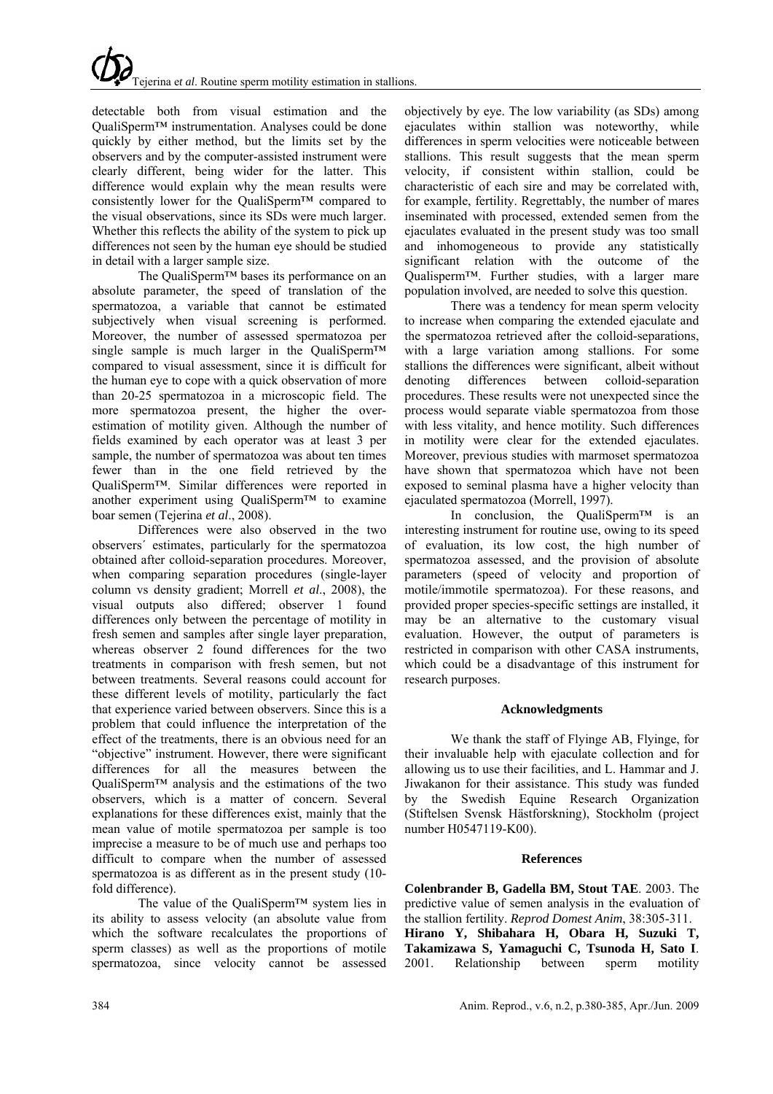detectable both from visual estimation and the QualiSperm™ instrumentation. Analyses could be done quickly by either method, but the limits set by the observers and by the computer-assisted instrument were clearly different, being wider for the latter. This difference would explain why the mean results were consistently lower for the QualiSperm™ compared to the visual observations, since its SDs were much larger. Whether this reflects the ability of the system to pick up differences not seen by the human eye should be studied in detail with a larger sample size.

The QualiSperm™ bases its performance on an absolute parameter, the speed of translation of the spermatozoa, a variable that cannot be estimated subjectively when visual screening is performed. Moreover, the number of assessed spermatozoa per single sample is much larger in the QualiSperm™ compared to visual assessment, since it is difficult for the human eye to cope with a quick observation of more than 20-25 spermatozoa in a microscopic field. The more spermatozoa present, the higher the overestimation of motility given. Although the number of fields examined by each operator was at least 3 per sample, the number of spermatozoa was about ten times fewer than in the one field retrieved by the QualiSperm™. Similar differences were reported in another experiment using QualiSperm™ to examine boar semen (Tejerina *et al*., 2008).

Differences were also observed in the two observers´ estimates, particularly for the spermatozoa obtained after colloid-separation procedures. Moreover, when comparing separation procedures (single-layer column vs density gradient; Morrell *et al*., 2008), the visual outputs also differed; observer 1 found differences only between the percentage of motility in fresh semen and samples after single layer preparation, whereas observer 2 found differences for the two treatments in comparison with fresh semen, but not between treatments. Several reasons could account for these different levels of motility, particularly the fact that experience varied between observers. Since this is a problem that could influence the interpretation of the effect of the treatments, there is an obvious need for an "objective" instrument. However, there were significant differences for all the measures between the  $QualiSperm<sup>TM</sup>$  analysis and the estimations of the two observers, which is a matter of concern. Several explanations for these differences exist, mainly that the mean value of motile spermatozoa per sample is too imprecise a measure to be of much use and perhaps too difficult to compare when the number of assessed spermatozoa is as different as in the present study (10 fold difference).

The value of the QualiSperm™ system lies in its ability to assess velocity (an absolute value from which the software recalculates the proportions of sperm classes) as well as the proportions of motile spermatozoa, since velocity cannot be assessed

objectively by eye. The low variability (as SDs) among ejaculates within stallion was noteworthy, while differences in sperm velocities were noticeable between stallions. This result suggests that the mean sperm velocity, if consistent within stallion, could be characteristic of each sire and may be correlated with, for example, fertility. Regrettably, the number of mares inseminated with processed, extended semen from the ejaculates evaluated in the present study was too small and inhomogeneous to provide any statistically significant relation with the outcome of the Qualisperm™. Further studies, with a larger mare population involved, are needed to solve this question.

There was a tendency for mean sperm velocity to increase when comparing the extended ejaculate and the spermatozoa retrieved after the colloid-separations, with a large variation among stallions. For some stallions the differences were significant, albeit without denoting differences between colloid-separation procedures. These results were not unexpected since the process would separate viable spermatozoa from those with less vitality, and hence motility. Such differences in motility were clear for the extended ejaculates. Moreover, previous studies with marmoset spermatozoa have shown that spermatozoa which have not been exposed to seminal plasma have a higher velocity than ejaculated spermatozoa (Morrell, 1997).

In conclusion, the QualiSperm<sup>™</sup> is an interesting instrument for routine use, owing to its speed of evaluation, its low cost, the high number of spermatozoa assessed, and the provision of absolute parameters (speed of velocity and proportion of motile/immotile spermatozoa). For these reasons, and provided proper species-specific settings are installed, it may be an alternative to the customary visual evaluation. However, the output of parameters is restricted in comparison with other CASA instruments, which could be a disadvantage of this instrument for research purposes.

### **Acknowledgments**

We thank the staff of Flyinge AB, Flyinge, for their invaluable help with ejaculate collection and for allowing us to use their facilities, and L. Hammar and J. Jiwakanon for their assistance. This study was funded by the Swedish Equine Research Organization (Stiftelsen Svensk Hästforskning), Stockholm (project number H0547119-K00).

### **References**

**Colenbrander B, Gadella BM, Stout TAE**. 2003. The predictive value of semen analysis in the evaluation of the stallion fertility. *Reprod Domest Anim*, 38:305-311. **Hirano Y, Shibahara H, Obara H, Suzuki T, Takamizawa S, Yamaguchi C, Tsunoda H, Sato I**. 2001. Relationship between sperm motility